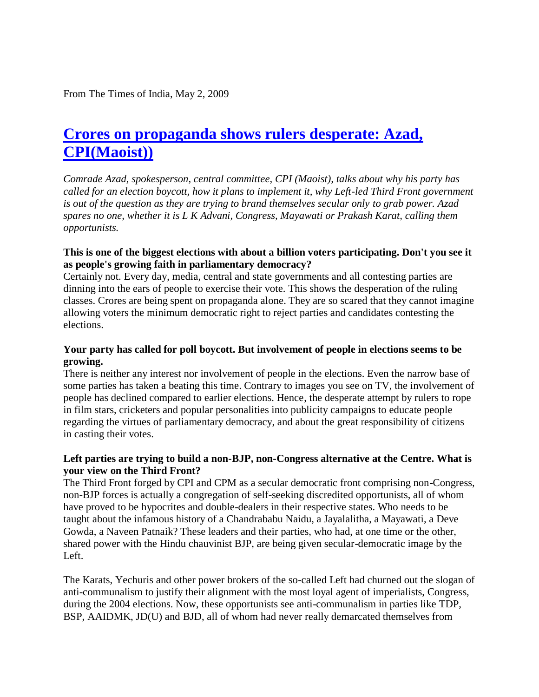From The Times of India, May 2, 2009

# **[Crores on propaganda shows rulers desperate: Azad,](http://naxalrevolution.blogspot.com/2009/05/crores-on-propaganda-shows-rulers.html)  [CPI\(Maoist\)\)](http://naxalrevolution.blogspot.com/2009/05/crores-on-propaganda-shows-rulers.html)**

*Comrade Azad, spokesperson, central committee, CPI (Maoist), talks about why his party has called for an election boycott, how it plans to implement it, why Left-led Third Front government is out of the question as they are trying to brand themselves secular only to grab power. Azad spares no one, whether it is L K Advani, Congress, Mayawati or Prakash Karat, calling them opportunists.* 

#### **This is one of the biggest elections with about a billion voters participating. Don't you see it as people's growing faith in parliamentary democracy?**

Certainly not. Every day, media, central and state governments and all contesting parties are dinning into the ears of people to exercise their vote. This shows the desperation of the ruling classes. Crores are being spent on propaganda alone. They are so scared that they cannot imagine allowing voters the minimum democratic right to reject parties and candidates contesting the elections.

#### **Your party has called for poll boycott. But involvement of people in elections seems to be growing.**

There is neither any interest nor involvement of people in the elections. Even the narrow base of some parties has taken a beating this time. Contrary to images you see on TV, the involvement of people has declined compared to earlier elections. Hence, the desperate attempt by rulers to rope in film stars, cricketers and popular personalities into publicity campaigns to educate people regarding the virtues of parliamentary democracy, and about the great responsibility of citizens in casting their votes.

### **Left parties are trying to build a non-BJP, non-Congress alternative at the Centre. What is your view on the Third Front?**

The Third Front forged by CPI and CPM as a secular democratic front comprising non-Congress, non-BJP forces is actually a congregation of self-seeking discredited opportunists, all of whom have proved to be hypocrites and double-dealers in their respective states. Who needs to be taught about the infamous history of a Chandrababu Naidu, a Jayalalitha, a Mayawati, a Deve Gowda, a Naveen Patnaik? These leaders and their parties, who had, at one time or the other, shared power with the Hindu chauvinist BJP, are being given secular-democratic image by the Left.

The Karats, Yechuris and other power brokers of the so-called Left had churned out the slogan of anti-communalism to justify their alignment with the most loyal agent of imperialists, Congress, during the 2004 elections. Now, these opportunists see anti-communalism in parties like TDP, BSP, AAIDMK, JD(U) and BJD, all of whom had never really demarcated themselves from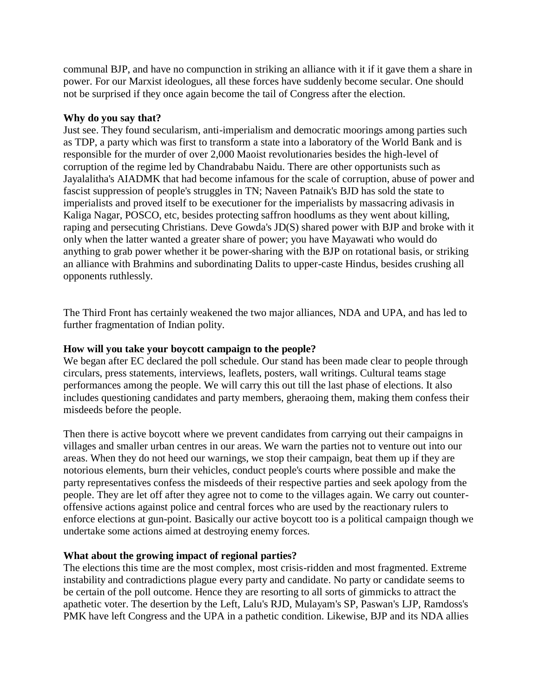communal BJP, and have no compunction in striking an alliance with it if it gave them a share in power. For our Marxist ideologues, all these forces have suddenly become secular. One should not be surprised if they once again become the tail of Congress after the election.

#### **Why do you say that?**

Just see. They found secularism, anti-imperialism and democratic moorings among parties such as TDP, a party which was first to transform a state into a laboratory of the World Bank and is responsible for the murder of over 2,000 Maoist revolutionaries besides the high-level of corruption of the regime led by Chandrababu Naidu. There are other opportunists such as Jayalalitha's AIADMK that had become infamous for the scale of corruption, abuse of power and fascist suppression of people's struggles in TN; Naveen Patnaik's BJD has sold the state to imperialists and proved itself to be executioner for the imperialists by massacring adivasis in Kaliga Nagar, POSCO, etc, besides protecting saffron hoodlums as they went about killing, raping and persecuting Christians. Deve Gowda's JD(S) shared power with BJP and broke with it only when the latter wanted a greater share of power; you have Mayawati who would do anything to grab power whether it be power-sharing with the BJP on rotational basis, or striking an alliance with Brahmins and subordinating Dalits to upper-caste Hindus, besides crushing all opponents ruthlessly.

The Third Front has certainly weakened the two major alliances, NDA and UPA, and has led to further fragmentation of Indian polity.

#### **How will you take your boycott campaign to the people?**

We began after EC declared the poll schedule. Our stand has been made clear to people through circulars, press statements, interviews, leaflets, posters, wall writings. Cultural teams stage performances among the people. We will carry this out till the last phase of elections. It also includes questioning candidates and party members, gheraoing them, making them confess their misdeeds before the people.

Then there is active boycott where we prevent candidates from carrying out their campaigns in villages and smaller urban centres in our areas. We warn the parties not to venture out into our areas. When they do not heed our warnings, we stop their campaign, beat them up if they are notorious elements, burn their vehicles, conduct people's courts where possible and make the party representatives confess the misdeeds of their respective parties and seek apology from the people. They are let off after they agree not to come to the villages again. We carry out counteroffensive actions against police and central forces who are used by the reactionary rulers to enforce elections at gun-point. Basically our active boycott too is a political campaign though we undertake some actions aimed at destroying enemy forces.

#### **What about the growing impact of regional parties?**

The elections this time are the most complex, most crisis-ridden and most fragmented. Extreme instability and contradictions plague every party and candidate. No party or candidate seems to be certain of the poll outcome. Hence they are resorting to all sorts of gimmicks to attract the apathetic voter. The desertion by the Left, Lalu's RJD, Mulayam's SP, Paswan's LJP, Ramdoss's PMK have left Congress and the UPA in a pathetic condition. Likewise, BJP and its NDA allies